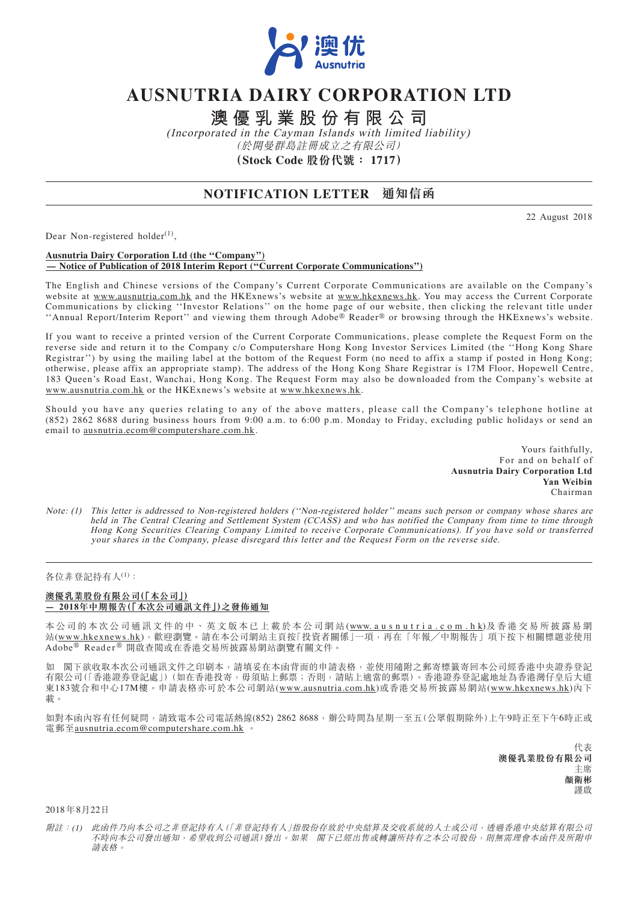

# **AUSNUTRIA DAIRY CORPORATION LTD**

**澳優乳業股份有限公司**

(Incorporated in the Cayman Islands with limited liability) (於開曼群島註冊成立之有限公司) **(Stock Code 股份代號: 1717)**

## **NOTIFICATION LETTER 通知信函**

22 August 2018

Dear Non-registered holder $^{(1)}$ ,

#### **Ausnutria Dairy Corporation Ltd (the ''Company'') — Notice of Publication of 2018 Interim Report (''Current Corporate Communications'')**

The English and Chinese versions of the Company's Current Corporate Communications are available on the Company's website at www.ausnutria.com.hk and the HKExnews's website at www.hkexnews.hk. You may access the Current Corporate Communications by clicking ''Investor Relations'' on the home page of our website, then clicking the relevant title under ''Annual Report/Interim Report'' and viewing them through Adobe® Reader® or browsing through the HKExnews's website.

If you want to receive a printed version of the Current Corporate Communications, please complete the Request Form on the reverse side and return it to the Company c/o Computershare Hong Kong Investor Services Limited (the ''Hong Kong Share Registrar'') by using the mailing label at the bottom of the Request Form (no need to affix a stamp if posted in Hong Kong; otherwise, please affix an appropriate stamp). The address of the Hong Kong Share Registrar is 17M Floor, Hopewell Centre, 183 Queen's Road East, Wanchai, Hong Kong. The Request Form may also be downloaded from the Company's website at www.ausnutria.com.hk or the HKExnews's website at www.hkexnews.hk.

Should you have any queries relating to any of the above matters, please call the Company's telephone hotline at (852) 2862 8688 during business hours from 9:00 a.m. to 6:00 p.m. Monday to Friday, excluding public holidays or send an email to ausnutria.ecom@computershare.com.hk.

> Yours faithfully, For and on behalf of **Ausnutria Dairy Corporation Ltd Yan Weibin** Chairman

Note: (1) This letter is addressed to Non-registered holders (''Non-registered holder'' means such person or company whose shares are held in The Central Clearing and Settlement System (CCASS) and who has notified the Company from time to time through Hong Kong Securities Clearing Company Limited to receive Corporate Communications). If you have sold or transferred your shares in the Company, please disregard this letter and the Request Form on the reverse side.

### 各位非登記持有人(1):

#### **澳優乳業股份有限公司(「本公司」) — 2018年中期報告(「本次公司通訊文件」)之發佈通知**

本公司的本次公司通訊文件的中、英文版本已上載於本公司網站(www.ausnutria.com.hk)及香港交易所披露易網 站(www.hkexnews.hk),歡迎瀏覽。請在本公司網站主頁按「投資者關係」一項,再在「年報/中期報告」項下按下相關標題並使用 Adobe® Reader ® 開啟查閱或在香港交易所披露易網站瀏覽有關文件。

如 閣下欲收取本次公司通訊文件之印刷本,請填妥在本函背面的申請表格,並使用隨附之郵寄標籤寄回本公司經香港中央證券登記 有限公司(「香港證券登記處」)(如在香港投寄,毋須貼上郵票;否則,請貼上適當的郵票)。香港證券登記處地址為香港灣仔皇后大道 東183號合和中心17M樓。申請表格亦可於本公司網站(www.ausnutria.com.hk)或香港交易所披露易網站(www.hkexnews.hk)內下 載。

如對本函內容有任何疑問,請致電本公司電話熱線(852) 2862 8688,辦公時間為星期一至五(公眾假期除外)上午9時正至下午6時正或 電郵至<u>ausnutria.ecom@computershare.com.hk</u>

> 代表 **澳優乳業股份有限公司** 主席 **顏衛彬** 謹啟

2018 年8月22日

附註:(1) 此函件乃向本公司之非登記持有人(「非登記持有人」指股份存放於中央結算及交收系統的人士或公司,透過香港中央結算有限公司 不時向本公司發出通知,希望收到公司通訊)發出。如果 閣下已經出售或轉讓所持有之本公司股份,則無需理會本函件及所附申 請表格。